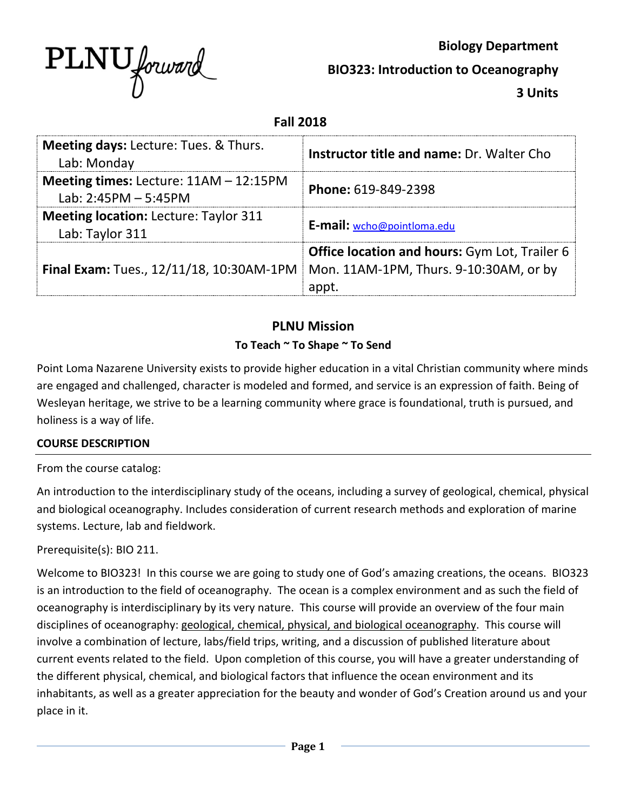

**Biology Department BIO323: Introduction to Oceanography 3 Units**

**Fall 2018**

| <b>Meeting days: Lecture: Tues. &amp; Thurs.</b><br>Lab: Monday    | Instructor title and name: Dr. Walter Cho                                                               |
|--------------------------------------------------------------------|---------------------------------------------------------------------------------------------------------|
| Meeting times: Lecture: $11AM - 12:15PM$<br>Lab: $2:45PM - 5:45PM$ | Phone: 619-849-2398                                                                                     |
| <b>Meeting location: Lecture: Taylor 311</b><br>Lab: Taylor 311    | E-mail: wcho@pointloma.edu                                                                              |
| Final Exam: Tues., 12/11/18, 10:30AM-1PM                           | <b>Office location and hours: Gym Lot, Trailer 6</b><br>Mon. 11AM-1PM, Thurs. 9-10:30AM, or by<br>annt. |

#### **PLNU Mission To Teach ~ To Shape ~ To Send**

Point Loma Nazarene University exists to provide higher education in a vital Christian community where minds are engaged and challenged, character is modeled and formed, and service is an expression of faith. Being of Wesleyan heritage, we strive to be a learning community where grace is foundational, truth is pursued, and holiness is a way of life.

#### **COURSE DESCRIPTION**

From the course catalog:

An introduction to the interdisciplinary study of the oceans, including a survey of geological, chemical, physical and biological oceanography. Includes consideration of current research methods and exploration of marine systems. Lecture, lab and fieldwork.

#### Prerequisite(s): BIO 211.

Welcome to BIO323! In this course we are going to study one of God's amazing creations, the oceans. BIO323 is an introduction to the field of oceanography. The ocean is a complex environment and as such the field of oceanography is interdisciplinary by its very nature. This course will provide an overview of the four main disciplines of oceanography: geological, chemical, physical, and biological oceanography. This course will involve a combination of lecture, labs/field trips, writing, and a discussion of published literature about current events related to the field. Upon completion of this course, you will have a greater understanding of the different physical, chemical, and biological factors that influence the ocean environment and its inhabitants, as well as a greater appreciation for the beauty and wonder of God's Creation around us and your place in it.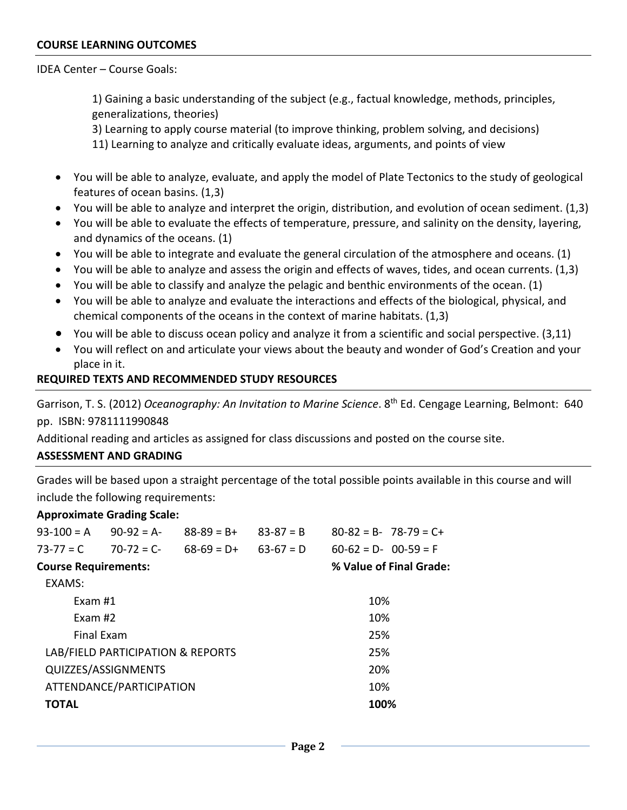#### IDEA Center – Course Goals:

1) Gaining a basic understanding of the subject (e.g., factual knowledge, methods, principles, generalizations, theories)

3) Learning to apply course material (to improve thinking, problem solving, and decisions)

11) Learning to analyze and critically evaluate ideas, arguments, and points of view

- You will be able to analyze, evaluate, and apply the model of Plate Tectonics to the study of geological features of ocean basins. (1,3)
- You will be able to analyze and interpret the origin, distribution, and evolution of ocean sediment. (1,3)
- You will be able to evaluate the effects of temperature, pressure, and salinity on the density, layering, and dynamics of the oceans. (1)
- You will be able to integrate and evaluate the general circulation of the atmosphere and oceans. (1)
- You will be able to analyze and assess the origin and effects of waves, tides, and ocean currents. (1,3)
- You will be able to classify and analyze the pelagic and benthic environments of the ocean. (1)
- You will be able to analyze and evaluate the interactions and effects of the biological, physical, and chemical components of the oceans in the context of marine habitats. (1,3)
- You will be able to discuss ocean policy and analyze it from a scientific and social perspective. (3,11)
- You will reflect on and articulate your views about the beauty and wonder of God's Creation and your place in it.

#### **REQUIRED TEXTS AND RECOMMENDED STUDY RESOURCES**

Garrison, T. S. (2012) *Oceanography: An Invitation to Marine Science*. 8th Ed. Cengage Learning, Belmont: 640 pp. ISBN: 9781111990848

Additional reading and articles as assigned for class discussions and posted on the course site.

#### **ASSESSMENT AND GRADING**

Grades will be based upon a straight percentage of the total possible points available in this course and will include the following requirements:

#### **Approximate Grading Scale:**

| 93-100 = A                  | $90-92 = A$                       | $88-89 = B+$ | $83-87 = B$             | $80-82 = B - 78-79 = C +$ |  |  |
|-----------------------------|-----------------------------------|--------------|-------------------------|---------------------------|--|--|
| 73-77 = C                   | $70-72 = C$                       | $68-69 = D+$ | $63-67 = D$             | $60-62 = D - 00-59 = F$   |  |  |
| <b>Course Requirements:</b> |                                   |              | % Value of Final Grade: |                           |  |  |
| EXAMS:                      |                                   |              |                         |                           |  |  |
| Exam #1                     |                                   |              | 10%                     |                           |  |  |
| Exam #2                     |                                   |              |                         | 10%                       |  |  |
|                             | Final Fxam                        |              | 25%                     |                           |  |  |
|                             | LAB/FIELD PARTICIPATION & REPORTS |              | 25%                     |                           |  |  |
|                             | QUIZZES/ASSIGNMENTS               |              | 20%                     |                           |  |  |
| ATTENDANCE/PARTICIPATION    |                                   |              |                         | 10%                       |  |  |
| <b>TOTAL</b>                |                                   | 100%         |                         |                           |  |  |
|                             |                                   |              |                         |                           |  |  |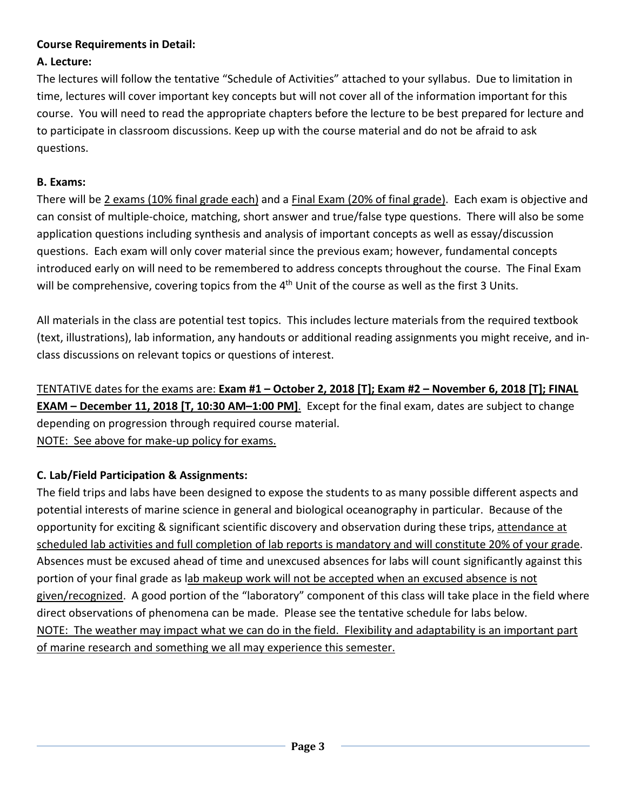### **Course Requirements in Detail:**

### **A. Lecture:**

The lectures will follow the tentative "Schedule of Activities" attached to your syllabus. Due to limitation in time, lectures will cover important key concepts but will not cover all of the information important for this course. You will need to read the appropriate chapters before the lecture to be best prepared for lecture and to participate in classroom discussions. Keep up with the course material and do not be afraid to ask questions.

### **B. Exams:**

There will be 2 exams (10% final grade each) and a Final Exam (20% of final grade). Each exam is objective and can consist of multiple-choice, matching, short answer and true/false type questions. There will also be some application questions including synthesis and analysis of important concepts as well as essay/discussion questions. Each exam will only cover material since the previous exam; however, fundamental concepts introduced early on will need to be remembered to address concepts throughout the course. The Final Exam will be comprehensive, covering topics from the 4<sup>th</sup> Unit of the course as well as the first 3 Units.

All materials in the class are potential test topics. This includes lecture materials from the required textbook (text, illustrations), lab information, any handouts or additional reading assignments you might receive, and inclass discussions on relevant topics or questions of interest.

TENTATIVE dates for the exams are: **Exam #1 – October 2, 2018 [T]; Exam #2 – November 6, 2018 [T]; FINAL EXAM – December 11, 2018 [T, 10:30 AM–1:00 PM]**. Except for the final exam, dates are subject to change depending on progression through required course material. NOTE: See above for make-up policy for exams.

### **C. Lab/Field Participation & Assignments:**

The field trips and labs have been designed to expose the students to as many possible different aspects and potential interests of marine science in general and biological oceanography in particular. Because of the opportunity for exciting & significant scientific discovery and observation during these trips, attendance at scheduled lab activities and full completion of lab reports is mandatory and will constitute 20% of your grade. Absences must be excused ahead of time and unexcused absences for labs will count significantly against this portion of your final grade as lab makeup work will not be accepted when an excused absence is not given/recognized. A good portion of the "laboratory" component of this class will take place in the field where direct observations of phenomena can be made. Please see the tentative schedule for labs below. NOTE: The weather may impact what we can do in the field. Flexibility and adaptability is an important part of marine research and something we all may experience this semester.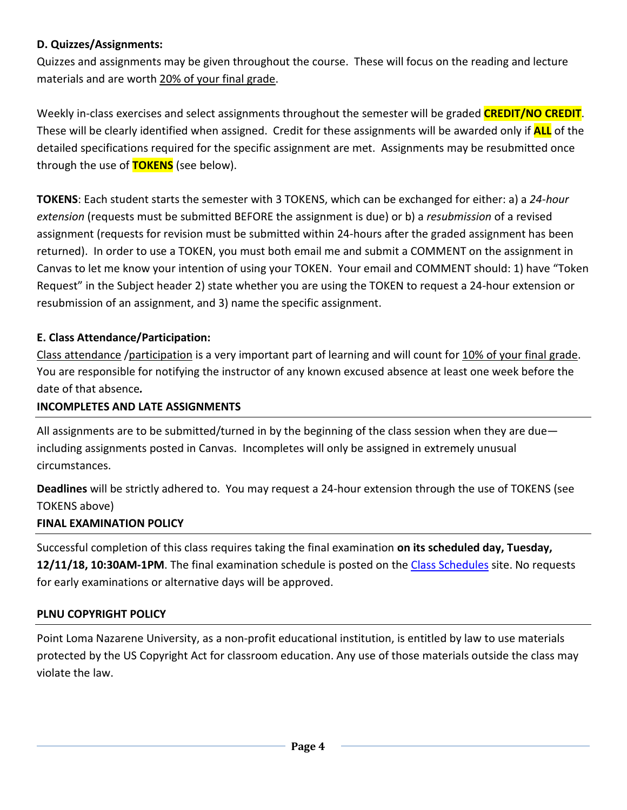### **D. Quizzes/Assignments:**

Quizzes and assignments may be given throughout the course. These will focus on the reading and lecture materials and are worth 20% of your final grade.

Weekly in-class exercises and select assignments throughout the semester will be graded **CREDIT/NO CREDIT**. These will be clearly identified when assigned. Credit for these assignments will be awarded only if **ALL** of the detailed specifications required for the specific assignment are met. Assignments may be resubmitted once through the use of **TOKENS** (see below).

**TOKENS**: Each student starts the semester with 3 TOKENS, which can be exchanged for either: a) a *24-hour extension* (requests must be submitted BEFORE the assignment is due) or b) a *resubmission* of a revised assignment (requests for revision must be submitted within 24-hours after the graded assignment has been returned). In order to use a TOKEN, you must both email me and submit a COMMENT on the assignment in Canvas to let me know your intention of using your TOKEN. Your email and COMMENT should: 1) have "Token Request" in the Subject header 2) state whether you are using the TOKEN to request a 24-hour extension or resubmission of an assignment, and 3) name the specific assignment.

# **E. Class Attendance/Participation:**

Class attendance /participation is a very important part of learning and will count for 10% of your final grade. You are responsible for notifying the instructor of any known excused absence at least one week before the date of that absence*.*

### **INCOMPLETES AND LATE ASSIGNMENTS**

All assignments are to be submitted/turned in by the beginning of the class session when they are due including assignments posted in Canvas. Incompletes will only be assigned in extremely unusual circumstances.

**Deadlines** will be strictly adhered to. You may request a 24-hour extension through the use of TOKENS (see TOKENS above)

# **FINAL EXAMINATION POLICY**

Successful completion of this class requires taking the final examination **on its scheduled day, Tuesday, 12/11/18, 10:30AM-1PM**. The final examination schedule is posted on the [Class Schedules](http://www.pointloma.edu/experience/academics/class-schedules) site. No requests for early examinations or alternative days will be approved.

### **PLNU COPYRIGHT POLICY**

Point Loma Nazarene University, as a non-profit educational institution, is entitled by law to use materials protected by the US Copyright Act for classroom education. Any use of those materials outside the class may violate the law.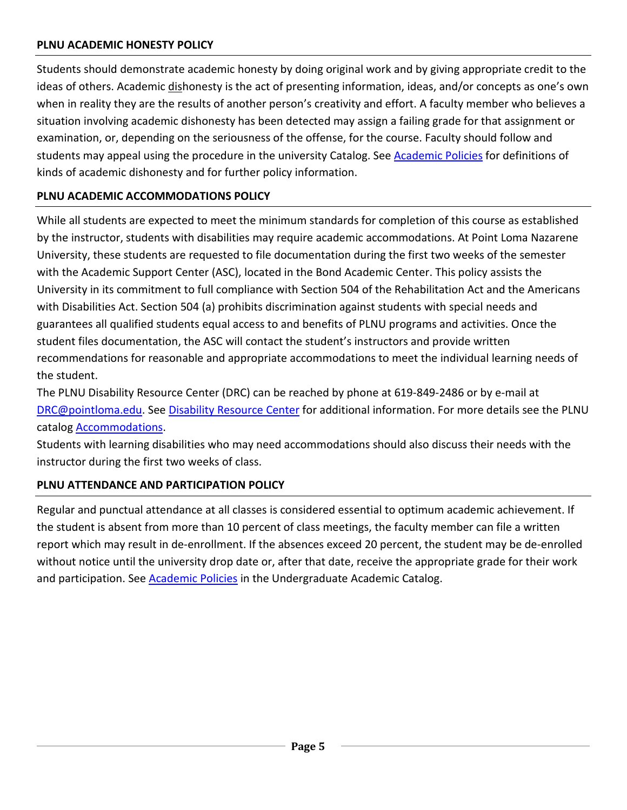### **PLNU ACADEMIC HONESTY POLICY**

Students should demonstrate academic honesty by doing original work and by giving appropriate credit to the ideas of others. Academic dishonesty is the act of presenting information, ideas, and/or concepts as one's own when in reality they are the results of another person's creativity and effort. A faculty member who believes a situation involving academic dishonesty has been detected may assign a failing grade for that assignment or examination, or, depending on the seriousness of the offense, for the course. Faculty should follow and students may appeal using the procedure in the university Catalog. Se[e Academic Policies](http://catalog.pointloma.edu/content.php?catoid=18&navoid=1278) for definitions of kinds of academic dishonesty and for further policy information.

### **PLNU ACADEMIC ACCOMMODATIONS POLICY**

While all students are expected to meet the minimum standards for completion of this course as established by the instructor, students with disabilities may require academic accommodations. At Point Loma Nazarene University, these students are requested to file documentation during the first two weeks of the semester with the Academic Support Center (ASC), located in the Bond Academic Center. This policy assists the University in its commitment to full compliance with Section 504 of the Rehabilitation Act and the Americans with Disabilities Act. Section 504 (a) prohibits discrimination against students with special needs and guarantees all qualified students equal access to and benefits of PLNU programs and activities. Once the student files documentation, the ASC will contact the student's instructors and provide written recommendations for reasonable and appropriate accommodations to meet the individual learning needs of the student.

The PLNU Disability Resource Center (DRC) can be reached by phone at 619-849-2486 or by e-mail at [DRC@pointloma.edu.](mailto:DRC@pointloma.edu) See [Disability Resource Center](http://www.pointloma.edu/experience/offices/administrative-offices/academic-advising-office/disability-resource-center) for additional information. For more details see the PLNU catalog [Accommodations.](https://catalog.pointloma.edu/content.php?catoid=35&navoid=2136#Academic_Accommodations)

Students with learning disabilities who may need accommodations should also discuss their needs with the instructor during the first two weeks of class.

#### **PLNU ATTENDANCE AND PARTICIPATION POLICY**

Regular and punctual attendance at all classes is considered essential to optimum academic achievement. If the student is absent from more than 10 percent of class meetings, the faculty member can file a written report which may result in de-enrollment. If the absences exceed 20 percent, the student may be de-enrolled without notice until the university drop date or, after that date, receive the appropriate grade for their work and participation. See **Academic Policies** in the Undergraduate Academic Catalog.